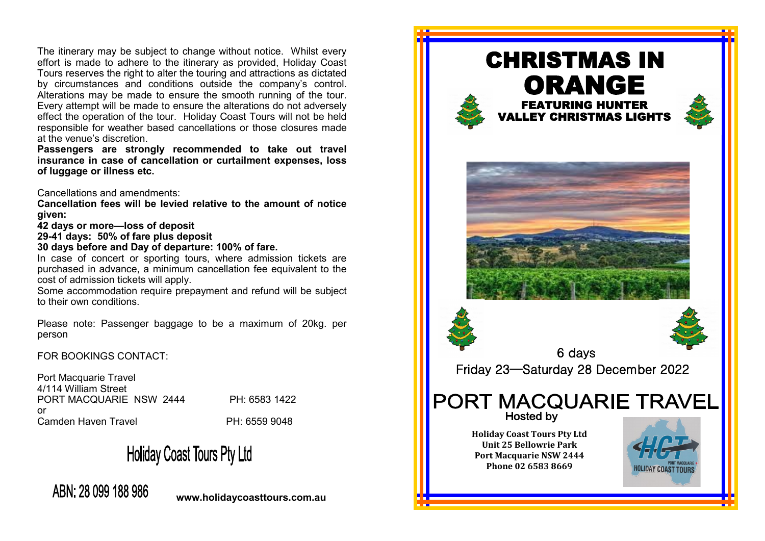The itinerary may be subject to change without notice. Whilst every effort is made to adhere to the itinerary as provided, Holiday Coast Tours reserves the right to alter the touring and attractions as dictated by circumstances and conditions outside the company's control. Alterations may be made to ensure the smooth running of the tour. Every attempt will be made to ensure the alterations do not adversely effect the operation of the tour. Holiday Coast Tours will not be held responsible for weather based cancellations or those closures made at the venue's discretion.

**Passengers are strongly recommended to take out travel insurance in case of cancellation or curtailment expenses, loss of luggage or illness etc.** 

Cancellations and amendments:

**Cancellation fees will be levied relative to the amount of notice given:**

**42 days or more—loss of deposit**

**29-41 days: 50% of fare plus deposit**

**30 days before and Day of departure: 100% of fare.**

In case of concert or sporting tours, where admission tickets are purchased in advance, a minimum cancellation fee equivalent to the cost of admission tickets will apply.

Some accommodation require prepayment and refund will be subject to their own conditions.

Please note: Passenger baggage to be a maximum of 20kg. per person

FOR BOOKINGS CONTACT:

Port Macquarie Travel 4/114 William Street PORT MACQUARIE NSW 2444 PH: 6583 1422 or Camden Haven Travel **PH: 6559 9048** 

**Holiday Coast Tours Pty Ltd** 

ABN: 28 099 188 986

**www.holidaycoasttours.com.au**

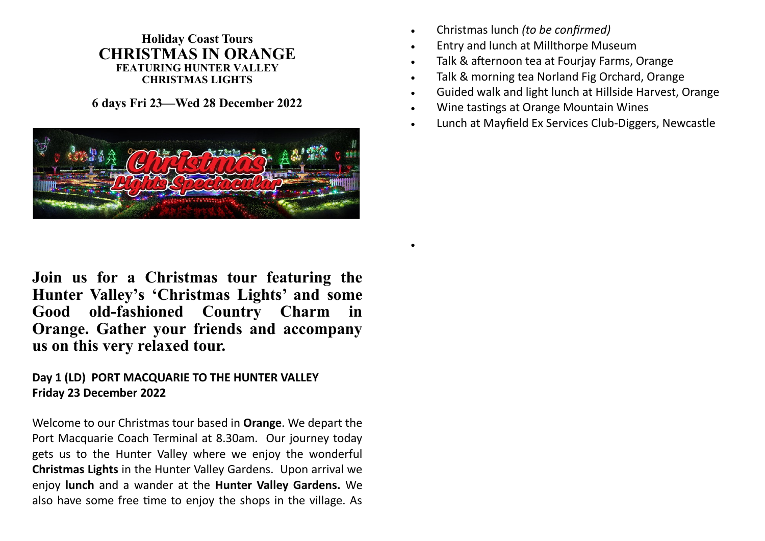#### **Holiday Coast Tours CHRISTMAS IN ORANGE FEATURING HUNTER VALLEY CHRISTMAS LIGHTS**

**6 days Fri 23—Wed 28 December 2022**



• Christmas lunch *(to be confirmed)*

•

- Entry and lunch at Millthorpe Museum
- Talk & afternoon tea at Fourjay Farms, Orange
- Talk & morning tea Norland Fig Orchard, Orange
- Guided walk and light lunch at Hillside Harvest, Orange
- Wine tastings at Orange Mountain Wines
- Lunch at Mayfield Ex Services Club-Diggers, Newcastle

**Join us for a Christmas tour featuring the Hunter Valley's 'Christmas Lights' and some Good old-fashioned Country Charm in Orange. Gather your friends and accompany us on this very relaxed tour.**

## **Day 1 (LD) PORT MACQUARIE TO THE HUNTER VALLEY Friday 23 December 2022**

Welcome to our Christmas tour based in **Orange**. We depart the Port Macquarie Coach Terminal at 8.30am. Our journey today gets us to the Hunter Valley where we enjoy the wonderful **Christmas Lights** in the Hunter Valley Gardens. Upon arrival we enjoy **lunch** and a wander at the **Hunter Valley Gardens.** We also have some free time to enjoy the shops in the village. As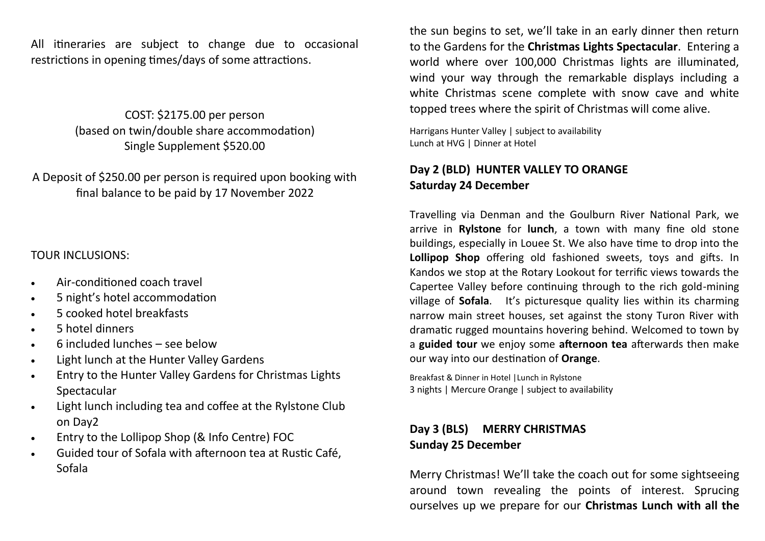All itineraries are subject to change due to occasional restrictions in opening times/days of some attractions.

> COST: \$2175.00 per person (based on twin/double share accommodation) Single Supplement \$520.00

A Deposit of \$250.00 per person is required upon booking with final balance to be paid by 17 November 2022

#### TOUR INCLUSIONS:

- Air-conditioned coach travel
- 5 night's hotel accommodation
- 5 cooked hotel breakfasts
- 5 hotel dinners
- 6 included lunches see below
- Light lunch at the Hunter Valley Gardens
- Entry to the Hunter Valley Gardens for Christmas Lights Spectacular
- Light lunch including tea and coffee at the Rylstone Club on Day2
- Entry to the Lollipop Shop (& Info Centre) FOC
- Guided tour of Sofala with afternoon tea at Rustic Café, Sofala

the sun begins to set, we'll take in an early dinner then return to the Gardens for the **Christmas Lights Spectacular**. Entering a world where over 100,000 Christmas lights are illuminated, wind your way through the remarkable displays including a white Christmas scene complete with snow cave and white topped trees where the spirit of Christmas will come alive.

Harrigans Hunter Valley | subject to availability Lunch at HVG | Dinner at Hotel

### **Day 2 (BLD) HUNTER VALLEY TO ORANGE Saturday 24 December**

Travelling via Denman and the Goulburn River National Park, we arrive in **Rylstone** for **lunch**, a town with many fine old stone buildings, especially in Louee St. We also have time to drop into the **Lollipop Shop** offering old fashioned sweets, toys and gifts. In Kandos we stop at the Rotary Lookout for terrific views towards the Capertee Valley before continuing through to the rich gold-mining village of **Sofala**. It's picturesque quality lies within its charming narrow main street houses, set against the stony Turon River with dramatic rugged mountains hovering behind. Welcomed to town by a **guided tour** we enjoy some **afternoon tea** afterwards then make our way into our destination of **Orange**.

Breakfast & Dinner in Hotel |Lunch in Rylstone 3 nights | Mercure Orange | subject to availability

# **Day 3 (BLS) MERRY CHRISTMAS Sunday 25 December**

Merry Christmas! We'll take the coach out for some sightseeing around town revealing the points of interest. Sprucing ourselves up we prepare for our **Christmas Lunch with all the**